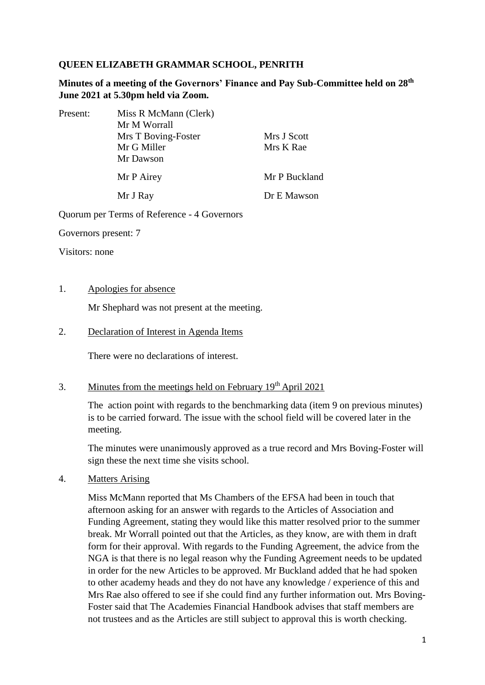### **QUEEN ELIZABETH GRAMMAR SCHOOL, PENRITH**

**Minutes of a meeting of the Governors' Finance and Pay Sub-Committee held on 28th June 2021 at 5.30pm held via Zoom.**

| Present: | Miss R McMann (Clerk) |               |
|----------|-----------------------|---------------|
|          | Mr M Worrall          |               |
|          | Mrs T Boving-Foster   | Mrs J Scott   |
|          | Mr G Miller           | Mrs K Rae     |
|          | Mr Dawson             |               |
|          | Mr P Airey            | Mr P Buckland |
|          | Mr J Ray              | Dr E Mawson   |

Quorum per Terms of Reference - 4 Governors

Governors present: 7

Visitors: none

#### 1. Apologies for absence

Mr Shephard was not present at the meeting.

#### 2. Declaration of Interest in Agenda Items

There were no declarations of interest.

# 3. Minutes from the meetings held on February 19<sup>th</sup> April 2021

The action point with regards to the benchmarking data (item 9 on previous minutes) is to be carried forward. The issue with the school field will be covered later in the meeting.

The minutes were unanimously approved as a true record and Mrs Boving-Foster will sign these the next time she visits school.

4. Matters Arising

Miss McMann reported that Ms Chambers of the EFSA had been in touch that afternoon asking for an answer with regards to the Articles of Association and Funding Agreement, stating they would like this matter resolved prior to the summer break. Mr Worrall pointed out that the Articles, as they know, are with them in draft form for their approval. With regards to the Funding Agreement, the advice from the NGA is that there is no legal reason why the Funding Agreement needs to be updated in order for the new Articles to be approved. Mr Buckland added that he had spoken to other academy heads and they do not have any knowledge / experience of this and Mrs Rae also offered to see if she could find any further information out. Mrs Boving-Foster said that The Academies Financial Handbook advises that staff members are not trustees and as the Articles are still subject to approval this is worth checking.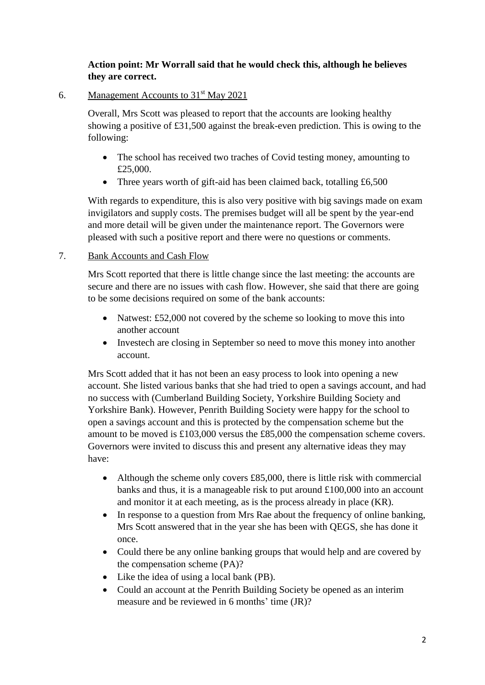# **Action point: Mr Worrall said that he would check this, although he believes they are correct.**

6. Management Accounts to 31st May 2021

Overall, Mrs Scott was pleased to report that the accounts are looking healthy showing a positive of £31,500 against the break-even prediction. This is owing to the following:

- The school has received two traches of Covid testing money, amounting to £25,000.
- Three years worth of gift-aid has been claimed back, totalling £6,500

With regards to expenditure, this is also very positive with big savings made on exam invigilators and supply costs. The premises budget will all be spent by the year-end and more detail will be given under the maintenance report. The Governors were pleased with such a positive report and there were no questions or comments.

# 7. Bank Accounts and Cash Flow

Mrs Scott reported that there is little change since the last meeting: the accounts are secure and there are no issues with cash flow. However, she said that there are going to be some decisions required on some of the bank accounts:

- Natwest: £52,000 not covered by the scheme so looking to move this into another account
- Investech are closing in September so need to move this money into another account.

Mrs Scott added that it has not been an easy process to look into opening a new account. She listed various banks that she had tried to open a savings account, and had no success with (Cumberland Building Society, Yorkshire Building Society and Yorkshire Bank). However, Penrith Building Society were happy for the school to open a savings account and this is protected by the compensation scheme but the amount to be moved is £103,000 versus the £85,000 the compensation scheme covers. Governors were invited to discuss this and present any alternative ideas they may have:

- Although the scheme only covers £85,000, there is little risk with commercial banks and thus, it is a manageable risk to put around £100,000 into an account and monitor it at each meeting, as is the process already in place (KR).
- In response to a question from Mrs Rae about the frequency of online banking, Mrs Scott answered that in the year she has been with QEGS, she has done it once.
- Could there be any online banking groups that would help and are covered by the compensation scheme (PA)?
- Like the idea of using a local bank (PB).
- Could an account at the Penrith Building Society be opened as an interim measure and be reviewed in 6 months' time (JR)?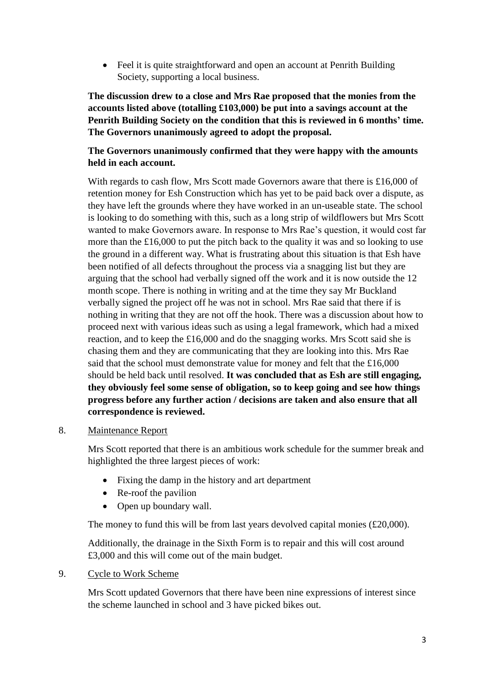• Feel it is quite straightforward and open an account at Penrith Building Society, supporting a local business.

**The discussion drew to a close and Mrs Rae proposed that the monies from the accounts listed above (totalling £103,000) be put into a savings account at the Penrith Building Society on the condition that this is reviewed in 6 months' time. The Governors unanimously agreed to adopt the proposal.** 

# **The Governors unanimously confirmed that they were happy with the amounts held in each account.**

With regards to cash flow, Mrs Scott made Governors aware that there is £16,000 of retention money for Esh Construction which has yet to be paid back over a dispute, as they have left the grounds where they have worked in an un-useable state. The school is looking to do something with this, such as a long strip of wildflowers but Mrs Scott wanted to make Governors aware. In response to Mrs Rae's question, it would cost far more than the £16,000 to put the pitch back to the quality it was and so looking to use the ground in a different way. What is frustrating about this situation is that Esh have been notified of all defects throughout the process via a snagging list but they are arguing that the school had verbally signed off the work and it is now outside the 12 month scope. There is nothing in writing and at the time they say Mr Buckland verbally signed the project off he was not in school. Mrs Rae said that there if is nothing in writing that they are not off the hook. There was a discussion about how to proceed next with various ideas such as using a legal framework, which had a mixed reaction, and to keep the £16,000 and do the snagging works. Mrs Scott said she is chasing them and they are communicating that they are looking into this. Mrs Rae said that the school must demonstrate value for money and felt that the £16,000 should be held back until resolved. **It was concluded that as Esh are still engaging, they obviously feel some sense of obligation, so to keep going and see how things progress before any further action / decisions are taken and also ensure that all correspondence is reviewed.** 

## 8. Maintenance Report

Mrs Scott reported that there is an ambitious work schedule for the summer break and highlighted the three largest pieces of work:

- Fixing the damp in the history and art department
- Re-roof the pavilion
- Open up boundary wall.

The money to fund this will be from last years devolved capital monies (£20,000).

Additionally, the drainage in the Sixth Form is to repair and this will cost around £3,000 and this will come out of the main budget.

## 9. Cycle to Work Scheme

Mrs Scott updated Governors that there have been nine expressions of interest since the scheme launched in school and 3 have picked bikes out.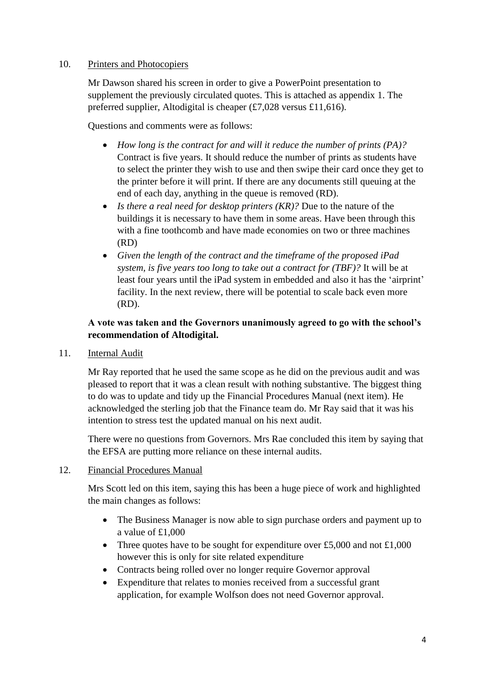#### 10. Printers and Photocopiers

Mr Dawson shared his screen in order to give a PowerPoint presentation to supplement the previously circulated quotes. This is attached as appendix 1. The preferred supplier, Altodigital is cheaper (£7,028 versus £11,616).

Questions and comments were as follows:

- *How long is the contract for and will it reduce the number of prints (PA)?*  Contract is five years. It should reduce the number of prints as students have to select the printer they wish to use and then swipe their card once they get to the printer before it will print. If there are any documents still queuing at the end of each day, anything in the queue is removed (RD).
- *Is there a real need for desktop printers (KR)?* Due to the nature of the buildings it is necessary to have them in some areas. Have been through this with a fine toothcomb and have made economies on two or three machines  $(RD)$
- *Given the length of the contract and the timeframe of the proposed iPad system, is five years too long to take out a contract for (TBF)?* It will be at least four years until the iPad system in embedded and also it has the 'airprint' facility. In the next review, there will be potential to scale back even more (RD).

# **A vote was taken and the Governors unanimously agreed to go with the school's recommendation of Altodigital.**

11. Internal Audit

Mr Ray reported that he used the same scope as he did on the previous audit and was pleased to report that it was a clean result with nothing substantive. The biggest thing to do was to update and tidy up the Financial Procedures Manual (next item). He acknowledged the sterling job that the Finance team do. Mr Ray said that it was his intention to stress test the updated manual on his next audit.

There were no questions from Governors. Mrs Rae concluded this item by saying that the EFSA are putting more reliance on these internal audits.

## 12. Financial Procedures Manual

Mrs Scott led on this item, saying this has been a huge piece of work and highlighted the main changes as follows:

- The Business Manager is now able to sign purchase orders and payment up to a value of £1,000
- Three quotes have to be sought for expenditure over £5,000 and not  $£1,000$ however this is only for site related expenditure
- Contracts being rolled over no longer require Governor approval
- Expenditure that relates to monies received from a successful grant application, for example Wolfson does not need Governor approval.